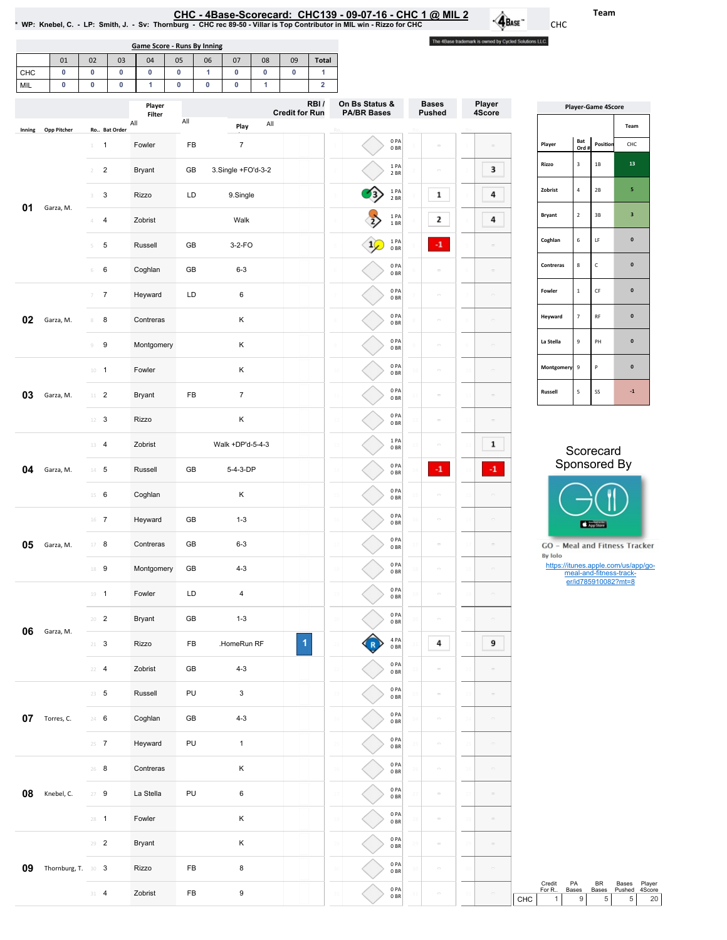| CHC - 4Base-Scorecard: CHC139 - 09-07-16 - CHC 1 @ MIL 2                                                                |  |
|-------------------------------------------------------------------------------------------------------------------------|--|
| * WP: Knebel, C. - LP: Smith, J. - Sv: Thornburg - CHC rec 89-50 - Villar is Top Contributor in MIL win - Rizzo for CHC |  |

01 02 03 04 05 06 07 08 09 Total

Game Score - Runs By Inning

The 4Base trademark is owned by Cycled Solutions LLC.

 $\cdot$   $\bigoplus$  Base

| CHC    | 0                  | 0              |                | 0            | 0                | 0         |     | -1        | 0                  | 0            |     | 0 | 1                             |                                      |                 |  |                               |  |                  |                                          |                         |                         |                                                    |
|--------|--------------------|----------------|----------------|--------------|------------------|-----------|-----|-----------|--------------------|--------------|-----|---|-------------------------------|--------------------------------------|-----------------|--|-------------------------------|--|------------------|------------------------------------------|-------------------------|-------------------------|----------------------------------------------------|
| MIL    | $\mathbf 0$        | $\pmb{0}$      |                | $\pmb{0}$    | $\mathbf{1}$     | $\pmb{0}$ |     | $\pmb{0}$ | $\pmb{0}$          | $\mathbf{1}$ |     |   | $\overline{2}$                |                                      |                 |  |                               |  |                  |                                          |                         |                         |                                                    |
|        |                    |                |                |              | Player<br>Filter |           |     |           |                    |              |     |   | RBI/<br><b>Credit for Run</b> | On Bs Status &<br><b>PA/BR Bases</b> |                 |  | <b>Bases</b><br><b>Pushed</b> |  | Player<br>4Score | <b>Player-Game 4Score</b>                |                         |                         |                                                    |
| Inning | <b>Opp Pitcher</b> |                |                | Ro Bat Order | All              |           | All |           | Play               |              | All |   |                               |                                      |                 |  |                               |  |                  |                                          |                         |                         | Team                                               |
|        |                    |                | $1 \quad 1$    |              | Fowler           |           | FB  |           | $\overline{7}$     |              |     |   |                               |                                      | 0PA<br>0BR      |  | $\equiv$                      |  | $\equiv$         | Player                                   | Bat<br>Ord #            | Position                | $\mathsf{CHC}$                                     |
|        |                    | $\overline{2}$ | $\overline{2}$ |              | <b>Bryant</b>    |           | GB  |           | 3.Single +FO'd-3-2 |              |     |   |                               |                                      | 1PA<br>2 BR     |  | $\equiv$                      |  | 3                | Rizzo                                    | $\mathbf 3$             | $1\mathsf{B}$           | 13                                                 |
|        |                    | 3              | $\mathbf{3}$   |              | Rizzo            |           | LD  |           | 9.Single           |              |     |   |                               |                                      | 1 PA<br>2 BR    |  | 1                             |  | 4                | Zobrist                                  | $\sqrt{4}$              | 2B                      | 5                                                  |
| 01     | Garza, M.          | 4              | $\overline{4}$ |              | Zobrist          |           |     |           | Walk               |              |     |   |                               | $\overline{2}$                       | 1PA<br>1 B R    |  | 2                             |  | 4                | <b>Bryant</b>                            | $\overline{\mathbf{2}}$ | 3B                      | $\mathbf 3$                                        |
|        |                    | 5              | 5              |              | Russell          |           | GB  |           | 3-2-FO             |              |     |   |                               | $\frac{1}{2}$                        | 1PA<br>0BR      |  | $-1$                          |  | $\hfill \square$ | Coghlan                                  | $\sf 6$                 | LF                      | $\pmb{0}$                                          |
|        |                    | 6              | $\,6\,$        |              | Coghlan          |           | GB  |           | $6 - 3$            |              |     |   |                               |                                      | 0PA<br>0BR      |  | $\equiv$                      |  | $\hfill \square$ | Contreras                                | $\bf8$                  | c                       | $\mathbf 0$                                        |
|        |                    |                | $7$ – $7$      |              | Heyward          |           | LD  |           | 6                  |              |     |   |                               |                                      | 0PA<br>0BR      |  | $\equiv$                      |  | $\hfill \square$ | Fowler                                   | $\,$ 1                  | CF                      | $\pmb{0}$                                          |
| 02     | Garza, M.          | 8              | 8              |              | Contreras        |           |     |           | Κ                  |              |     |   |                               |                                      | 0PA<br>0BR      |  | $\equiv$                      |  | $\hfill \square$ | Heyward                                  | $\overline{7}$          | RF                      | $\pmb{0}$                                          |
|        |                    | 9              | 9              |              | Montgomery       |           |     |           | Κ                  |              |     |   |                               |                                      | 0PA<br>0BR      |  | $\equiv$                      |  | $\hfill \square$ | La Stella                                | 9                       | PH                      | $\pmb{0}$                                          |
|        |                    |                | $10 - 1$       |              | Fowler           |           |     |           | Κ                  |              |     |   |                               |                                      | 0PA<br>0BR      |  | $\equiv$                      |  | $\hfill \square$ | Montgomery                               | $\,9$                   | P                       | $\mathbf 0$                                        |
| 03     | Garza, M.          |                | $11$ – $2$     |              | <b>Bryant</b>    |           | FB  |           | $\boldsymbol{7}$   |              |     |   |                               |                                      | 0PA<br>0BR      |  | $\equiv$                      |  | $\hskip1000000$  | Russell                                  | ${\bf 5}$               | SS                      | $\cdot 1$                                          |
|        |                    |                | $12 \t3$       |              | Rizzo            |           |     |           | Κ                  |              |     |   |                               |                                      | 0PA<br>0BR      |  | $\equiv$                      |  | $\hfill \square$ |                                          |                         |                         |                                                    |
|        |                    |                | 13 4           |              | Zobrist          |           |     |           | Walk +DP'd-5-4-3   |              |     |   |                               |                                      | 1PA<br>0BR      |  |                               |  | $\mathbf{1}$     |                                          |                         | Scorecard               |                                                    |
| 04     | Garza, M.          |                | $14$ 5         |              | Russell          |           | GB  |           | 5-4-3-DP           |              |     |   |                               |                                      | 0PA<br>0BR      |  | $\cdot 1$                     |  | $\cdot 1$        |                                          |                         | Sponsored By            |                                                    |
|        |                    |                | $15 \t 6$      |              | Coghlan          |           |     |           | Κ                  |              |     |   |                               |                                      | 0PA<br>0BR      |  |                               |  | $\equiv$         |                                          |                         |                         |                                                    |
|        |                    |                | $16$ 7         |              | Heyward          |           | GB  |           | $1 - 3$            |              |     |   |                               |                                      | 0PA<br>0BR      |  | $\equiv$                      |  | $\hfill \square$ |                                          |                         | App Store               |                                                    |
| 05     | Garza, M.          |                | $17 - 8$       |              | Contreras        |           | GB  |           | $6 - 3$            |              |     |   |                               |                                      | 0PA<br>0BR      |  | $\equiv$                      |  | $\hfill \square$ | GO - Meal and Fitness Tracker<br>By Iolo |                         |                         |                                                    |
|        |                    |                | 18 9           |              | Montgomery       |           | GB  |           | $4 - 3$            |              |     |   |                               |                                      | 0PA<br>0BR      |  | $\equiv$                      |  | $\hfill \square$ |                                          |                         | meal-and-fitness-track- | https://itunes.apple.com/us/app/go-                |
|        |                    |                | $19 - 1$       |              | Fowler           |           | LD  |           | $\overline{4}$     |              |     |   |                               |                                      | 0PA<br>0BR      |  |                               |  | $\equiv$         |                                          |                         | er/id785910082?mt=8     |                                                    |
|        |                    |                | $20$ – $2$     |              | Bryant           |           | GB  |           | $1 - 3$            |              |     |   |                               |                                      | 0PA<br>0 B R    |  |                               |  | $\equiv$         |                                          |                         |                         |                                                    |
| 06     | Garza, M.          |                | $21 \t3$       |              | Rizzo            |           | FB  |           | .HomeRun RF        |              |     |   | $\overline{1}$                | $\mathbf R$                          | 4 PA<br>0 B R   |  | 4                             |  | 9                |                                          |                         |                         |                                                    |
|        |                    |                | $22 - 4$       |              | Zobrist          |           | GB  |           | $4 - 3$            |              |     |   |                               |                                      | $0$ PA<br>0 B R |  | $\hfill \square$              |  | $\hfill \square$ |                                          |                         |                         |                                                    |
|        |                    |                | $23 - 5$       |              | Russell          |           | PU  |           | $\mathbf{3}$       |              |     |   |                               |                                      | 0PA<br>0 B R    |  | $\scriptstyle\Box$            |  | $\hfill \square$ |                                          |                         |                         |                                                    |
| 07     | Torres, C.         |                | $24 - 6$       |              | Coghlan          |           | GB  |           | $4 - 3$            |              |     |   |                               |                                      | 0PA<br>0 B R    |  | $\scriptstyle\Box$            |  | $\hfill \square$ |                                          |                         |                         |                                                    |
|        |                    |                | $25 - 7$       |              | Heyward          |           | PU  |           | $\mathbf{1}$       |              |     |   |                               |                                      | 0PA<br>0 B R    |  | $\hfill \square$              |  | $\hfill \square$ |                                          |                         |                         |                                                    |
|        |                    |                | $26$ 8         |              | Contreras        |           |     |           | Κ                  |              |     |   |                               |                                      | 0PA<br>0B       |  | $\scriptstyle\Box$            |  | $\hfill \square$ |                                          |                         |                         |                                                    |
| 08     | Knebel, C.         |                | $27 - 9$       |              | La Stella        |           | PU  |           | $\,6\,$            |              |     |   |                               |                                      | 0PA<br>0B       |  | $\equiv$                      |  | $\equiv$         |                                          |                         |                         |                                                    |
|        |                    |                | $28 - 1$       |              | Fowler           |           |     |           | Κ                  |              |     |   |                               |                                      | 0PA<br>0 B R    |  | $\hfill \square$              |  | $\equiv$         |                                          |                         |                         |                                                    |
|        |                    |                | $29 - 2$       |              | <b>Bryant</b>    |           |     |           | Κ                  |              |     |   |                               |                                      | 0PA<br>0 B R    |  | $\equiv$                      |  | $\equiv$         |                                          |                         |                         |                                                    |
| 09     | Thornburg, T. 30 3 |                |                |              | Rizzo            |           | FB  |           | 8                  |              |     |   |                               |                                      | 0PA<br>0B       |  | $\hfill \square$              |  | $\equiv$         |                                          |                         |                         |                                                    |
|        |                    |                | $31 - 4$       |              | Zobrist          |           | FB  |           | 9                  |              |     |   |                               |                                      | 0PA<br>0 B R    |  | $\equiv$                      |  |                  | Credit<br>For R<br>CHC<br>$\mathbf{1}$   | PA<br>Bases<br>9        | BR<br>Bases<br>5        | Player<br>Bases<br>Pushed<br>4Score<br>$\,$ 5 $\,$ |

| <b>Player-Game 4Score</b> |                |           |              |  |  |  |  |  |  |  |
|---------------------------|----------------|-----------|--------------|--|--|--|--|--|--|--|
|                           |                |           |              |  |  |  |  |  |  |  |
| Player                    | Bat<br>Ord#    | Position  | CHC          |  |  |  |  |  |  |  |
| Rizzo                     | 3              | 1B        | 13           |  |  |  |  |  |  |  |
| Zobrist                   | $\overline{4}$ | 2B        | 5            |  |  |  |  |  |  |  |
| <b>Bryant</b>             | $\overline{2}$ | 3B        | 3            |  |  |  |  |  |  |  |
| Coghlan                   | 6              | LF        | $\mathbf{0}$ |  |  |  |  |  |  |  |
| Contreras                 | 8              | C         | $\mathbf{0}$ |  |  |  |  |  |  |  |
| Fowler                    | $\mathbf{1}$   | CF        | $\bf{0}$     |  |  |  |  |  |  |  |
| Heyward                   | $\overline{7}$ | <b>RF</b> | $\mathbf{0}$ |  |  |  |  |  |  |  |
| La Stella                 | 9              | PH        | $\mathbf{0}$ |  |  |  |  |  |  |  |
| Montgomery                | 9              | P         | $\mathbf{0}$ |  |  |  |  |  |  |  |
| Russell                   | 5              | SS        | $-1$         |  |  |  |  |  |  |  |

## Scorecard Sponsored By



Team

CHC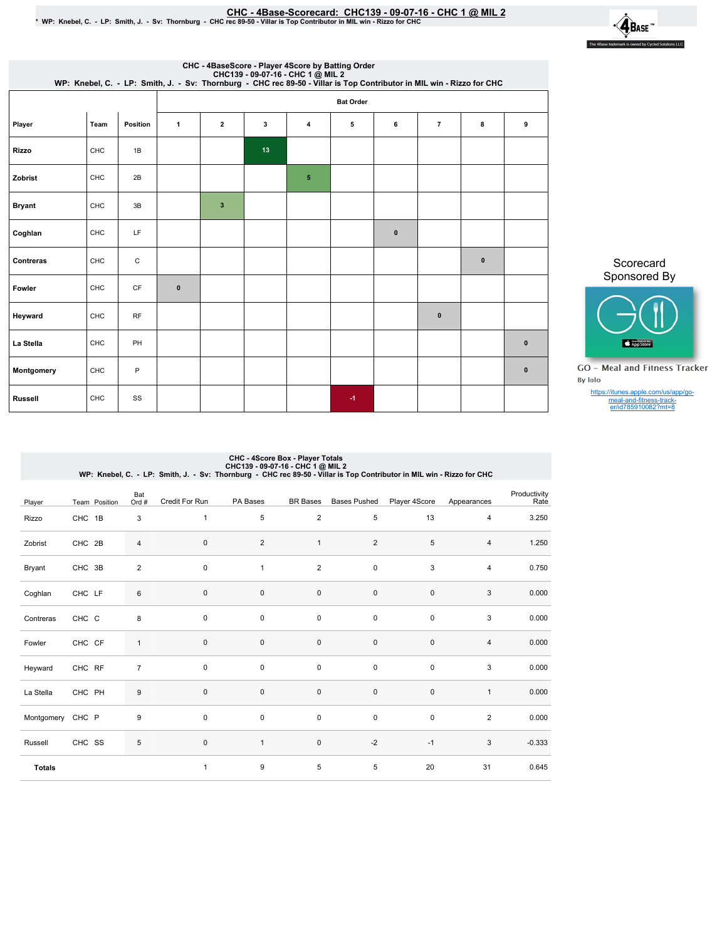## CHC-4Base-Scorecard:CHC139-09-07-16-CHC1@ MIL2 \*WP:Knebel,C.-LP:Smith,J.-Sv:Thornburg-CHCrec89-50-VillarisTopContributorinMILwin-RizzoforCHC

| The 4Base trademark is owned by |  |
|---------------------------------|--|

|                | CHC - 4BaseScore - Player 4Score by Batting Order<br>CHC139 - 09-07-16 - CHC 1 @ MIL 2<br>WP: Knebel, C. - LP: Smith, J. - Sv: Thornburg - CHC rec 89-50 - Villar is Top Contributor in MIL win - Rizzo for CHC |             |                  |                         |    |   |      |           |                |           |           |  |  |
|----------------|-----------------------------------------------------------------------------------------------------------------------------------------------------------------------------------------------------------------|-------------|------------------|-------------------------|----|---|------|-----------|----------------|-----------|-----------|--|--|
|                |                                                                                                                                                                                                                 |             | <b>Bat Order</b> |                         |    |   |      |           |                |           |           |  |  |
| Player         | Team                                                                                                                                                                                                            | Position    | $\mathbf{1}$     | $\overline{\mathbf{2}}$ | 3  | 4 | 5    | 6         | $\overline{7}$ | 8         | 9         |  |  |
| <b>Rizzo</b>   | CHC                                                                                                                                                                                                             | 1B          |                  |                         | 13 |   |      |           |                |           |           |  |  |
| Zobrist        | CHC                                                                                                                                                                                                             | 2B          |                  |                         |    | 5 |      |           |                |           |           |  |  |
| <b>Bryant</b>  | CHC                                                                                                                                                                                                             | 3B          |                  | $\overline{\mathbf{3}}$ |    |   |      |           |                |           |           |  |  |
| Coghlan        | CHC                                                                                                                                                                                                             | LF          |                  |                         |    |   |      | $\pmb{0}$ |                |           |           |  |  |
| Contreras      | CHC                                                                                                                                                                                                             | $\mathbf C$ |                  |                         |    |   |      |           |                | $\pmb{0}$ |           |  |  |
| Fowler         | CHC                                                                                                                                                                                                             | CF          | $\pmb{0}$        |                         |    |   |      |           |                |           |           |  |  |
| Heyward        | CHC                                                                                                                                                                                                             | <b>RF</b>   |                  |                         |    |   |      |           | $\pmb{0}$      |           |           |  |  |
| La Stella      | CHC                                                                                                                                                                                                             | PH          |                  |                         |    |   |      |           |                |           | $\pmb{0}$ |  |  |
| Montgomery     | CHC                                                                                                                                                                                                             | P           |                  |                         |    |   |      |           |                |           | $\pmb{0}$ |  |  |
| <b>Russell</b> | CHC                                                                                                                                                                                                             | SS          |                  |                         |    |   | $-1$ |           |                |           |           |  |  |

Scorecard Sponsored By



**GO** - Meal and Fitness Tracker By Iolo

https://itunes.apple.com/us/app/go-meal-and-fitness-track-er/id785910082?mt=8

## CHC - 4Score Box - Player Totals<br>CHC139 - 09-07-16 CHC 1 @ MIL 2<br>WP: Knebel, C. - LP: Smith, J. - Sv: Thornburg - CHC rec 89-50 - Villar is Top Contributor in MIL win - Rizzo for CHC

| Player        | Team Position | Bat<br>Ord #     | Credit For Run | PA Bases     | <b>BR</b> Bases | <b>Bases Pushed</b> | Player 4Score | Appearances    | Productivity<br>Rate |
|---------------|---------------|------------------|----------------|--------------|-----------------|---------------------|---------------|----------------|----------------------|
| Rizzo         | CHC 1B        | 3                | $\mathbf{1}$   | 5            | 2               | 5                   | 13            | $\overline{4}$ | 3.250                |
| Zobrist       | CHC 2B        | $\overline{4}$   | 0              | 2            | $\mathbf{1}$    | 2                   | 5             | $\overline{4}$ | 1.250                |
| Bryant        | CHC 3B        | $\overline{2}$   | $\pmb{0}$      | $\mathbf{1}$ | $\overline{2}$  | $\pmb{0}$           | 3             | $\overline{4}$ | 0.750                |
| Coghlan       | CHC LF        | 6                | 0              | $\mathbf 0$  | $\mathsf 0$     | $\mathsf 0$         | $\mathbf 0$   | 3              | 0.000                |
| Contreras     | CHC C         | 8                | 0              | $\mathbf 0$  | 0               | $\mathbf 0$         | $\mathbf 0$   | 3              | 0.000                |
| Fowler        | CHC CF        | $\overline{1}$   | 0              | $\mathbf 0$  | $\mathsf 0$     | $\mathsf 0$         | $\mathsf 0$   | 4              | 0.000                |
| Heyward       | CHC RF        | $\overline{7}$   | $\pmb{0}$      | $\pmb{0}$    | 0               | $\pmb{0}$           | $\mathsf 0$   | 3              | 0.000                |
| La Stella     | CHC PH        | $\boldsymbol{9}$ | 0              | $\pmb{0}$    | $\pmb{0}$       | $\pmb{0}$           | $\pmb{0}$     | $\mathbf{1}$   | 0.000                |
| Montgomery    | CHC P         | $\boldsymbol{9}$ | $\mathbf 0$    | $\mathbf 0$  | $\mathbf 0$     | $\pmb{0}$           | $\pmb{0}$     | $\overline{2}$ | 0.000                |
| Russell       | CHC SS        | $\sqrt{5}$       | $\mathbf 0$    | $\mathbf{1}$ | $\mathsf 0$     | $-2$                | $-1$          | 3              | $-0.333$             |
| <b>Totals</b> |               |                  | $\mathbf{1}$   | 9            | 5               | $\,$ 5 $\,$         | 20            | 31             | 0.645                |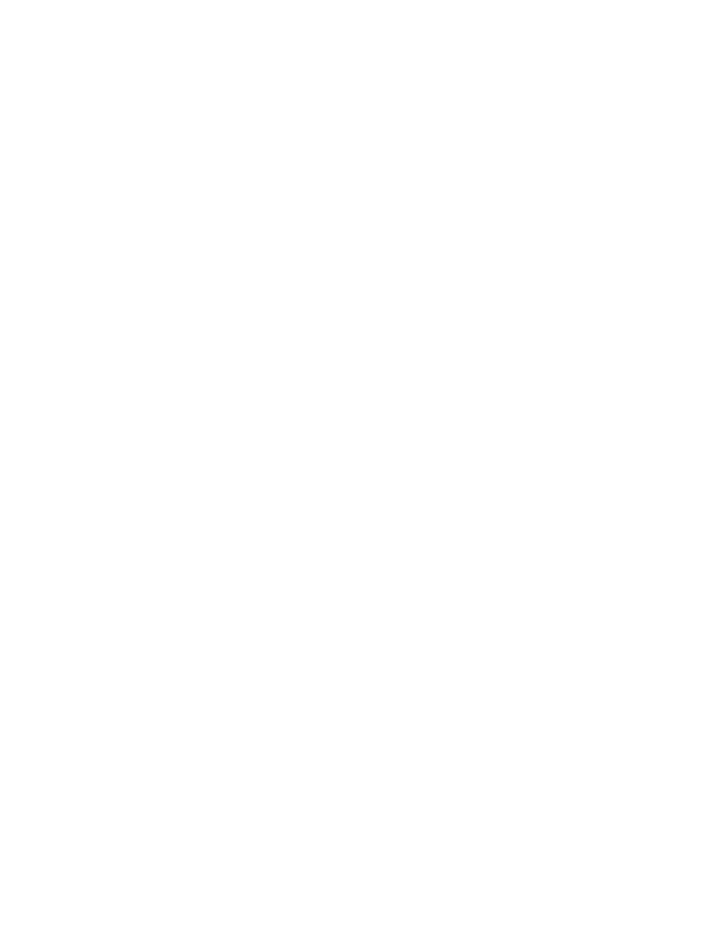$\underbrace{8+8}_{\begin{array}{r}8+8\end{array}}\quad \ \begin{array}{r} \underline{8+8}_{\begin{array}{r}8+8\end{array}}\quad \ \begin{array}{r} \underline{8+8}_{\begin{array}{r}8+8\end{array}}\quad \ \begin{array}{r} \underline{8+8}_{\begin{array}{r}8+8\end{array}}\quad \ \begin{array}{r} \underline{8+8}_{\begin{array}{r}8+8\end{array}}\quad \ \begin{array}{r} \underline{8+8}_{\begin{array}{r}8+8\end{array}}\quad \ \end{array}}\quad \ \begin{array}{r} \underline{8+8}_{\begin{array}{$ 

& + & %DVH6FRUH 300\HU 6FRUHE\%DWLQJ2UGHU %DW2 UGHU  $3\times$  HU  $7HDP$ 3 RVLMRQ 5ÿ]R  $8 + 8$  $\%$  $=$ REUMV  $8 + 8$  $\%$ %U DQW  $8 + 8$  $\%$ &RJKODQ  $8 + 8$  $\hspace{0.1cm}\mathcal{N}$  ) & ROWHLDV  $\&$  $8 + 8$  $8 + 8$ &) ) RZ OHU  $+HZDUS$  $\mathbf{8} + \mathbf{8}$  $5)$  $8 + 8$  $3+$ /D6WKOD 0 ROW RP HU  $8 + 8$  $\mathbf{3}$ 5 XVVHO  $8 + 8$ 66

6 FRUHFDUG 6 SROVRUHG%

KWOSV LWACH-VDSSORIERP XVDSSJR<br>PHDODOGILKOH-WWODEN<br>HULG "PW

|                    |             |              |             | $8 + 8$ | & + & 6 FRUH%R[ 30D\HU7RWDOV<br>$8+8$ # 0,/ | : 3 . OHEHO& / 3 6PLMK - 6Y 7KRLOEXUJ & +& UHF 9LOODULY 7RS&ROWLEXWRULQ0, / ZLQ 5LJ]RIRU& +& |  |                    |
|--------------------|-------------|--------------|-------------|---------|---------------------------------------------|----------------------------------------------------------------------------------------------|--|--------------------|
| 30 NU              |             | 7HDP 3RVWLRQ | %DW<br>2 LG |         |                                             | & UHGLV) RU5XQ 3\$%DVHV %6%DVHV %DVHV3XVKHG 300NHU 6FRUH \$SSHDUDGFHV                        |  | 3 URGXFWYUW<br>5DM |
| $5 \text{ H}$ R    | $8 + 8$ %   |              |             |         |                                             |                                                                                              |  |                    |
| $=$ REUMV          | $& 8 + 8$ % |              |             |         |                                             |                                                                                              |  |                    |
| % DOW              | $& 8 + 8$ % |              |             |         |                                             |                                                                                              |  |                    |
| & RJKODQ           | $8+8$ ()    |              |             |         |                                             |                                                                                              |  |                    |
| & ROWHUDV          | $8 + 88$    |              |             |         |                                             |                                                                                              |  |                    |
| ) RZ OHU           | $8+8$ $8)$  |              |             |         |                                             |                                                                                              |  |                    |
| + H ZDUG           | $8+8$ 5)    |              |             |         |                                             |                                                                                              |  |                    |
| $/DD$ 6 MMOD       | $8+8$ 3+    |              |             |         |                                             |                                                                                              |  |                    |
| 0 ROW/RPHU & + & 3 |             |              |             |         |                                             |                                                                                              |  |                    |
| 5 XVMHO 8+8 66     |             |              |             |         |                                             |                                                                                              |  |                    |
| 7RWDOV             |             |              |             |         |                                             |                                                                                              |  |                    |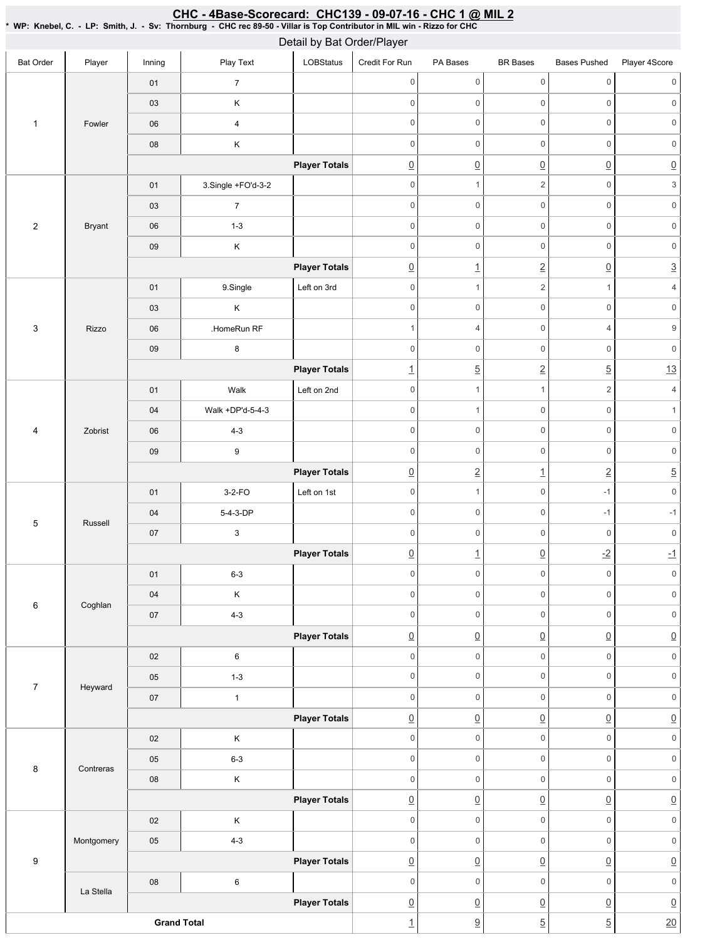## Bat Order | Player | Inning | PlayText | LOBStatus Credit For Run PA Bases BR Bases Bases Pushed Player 4Score 1 Fowler 01 7 03 K 06 4 08 K **Player Totals** 2 Bryant 01 3.Single +FO'd-3-2 03 7 06 1-3 09 K **Player Totals** 3 Rizzo 01 | 9.Single | Left on 3rd 03 K 06 | HomeRun RF 09 8 **Player Totals** 4 Zobrist 01 | Walk Left on 2nd 04 Walk +DP'd-5-4-3 06 4-3 09 9 **Player Totals** 5 Russell 01 3-2-FO Left on 1st 04 5-4-3-DP 07 3 **Player Totals** 6 Coghlan 01 6-3 04 K 07 4-3 **Player Totals** 7 Heyward 02 6 05 1-3 07 1 **Player Totals** 8 Contreras 02 K 05 6-3 08 K **Player Totals** 9 Montgomery 02 K 05 4-3 **Player Totals** La Stella 08 6 **Player Totals Grand Total** 0 0 0 0 0 0 0 0 0 0 0 0 0 0 0 0 0 0 0 0 0 0 0 0  $\overline{0}$   $\overline{0}$   $\overline{0}$   $\overline{0}$   $\overline{0}$   $\overline{0}$   $\overline{0}$ 0 1 2 0 3 0 0 0 0 0 0 0 0 0 0 0 0 0 0 0 0 0 0 0 1 2 0 3 0 1 2 1 4 0 0 0 0 0 0 1 4 0 4 9 0 0 0 0 0 0 1  $\frac{1}{2}$   $\frac{2}{13}$ 0 1 1 2 4 0 0 0 1 0 0 0 0 0 0 0 0 0 0 0 0  $\boxed{0}$  2  $\boxed{1}$  2  $\boxed{5}$ 0 1 0 -1 0 0 0 -1 -1 0 0 0 0 0 0 0 1 0 -2 -1 0 0 0 0 0 0 0 0 0 0 0 0 0 0 0 0 0 0  $\begin{array}{c|c|c|c|c|c} \hline \Omega & \Omega & \Omega & \Omega \end{array} \hspace{1.5cm} \begin{array}{c|c|c} \hline \Omega & \Omega & \Omega \end{array} \hspace{1.5cm} \begin{array}{c|c|c} \hline \Omega & \Omega & \Omega \end{array} \end{array}$ 0 0 0 0 0 0 0 0 0 0 0 0 0 0 0 0 0 0  $\overline{0}$   $\overline{0}$   $\overline{0}$   $\overline{0}$   $\overline{0}$   $\overline{0}$   $\overline{0}$ 0 0 0 0 0 0 0 0 0 0 0 0 0 0 0 0 0 0  $\overline{0}$   $\overline{0}$   $\overline{0}$   $\overline{0}$   $\overline{0}$   $\overline{0}$   $\overline{0}$ 0 0 0 0 0 0 0 0 0 0 0 0 0 0 0 0 0 0 0 0 0 0 0 0 0 0 0 0  $\frac{1}{2}$  9 5 5 20 Detail by Bat Order/Player

CHC - 4Base-Scorecard: CHC139 - 09-07-16 - CHC 1 @ MIL 2

\* WP: Knebel, C. - LP: Smith, J. - Sv: Thornburg - CHC rec 89-50 - Villar is Top Contributor in MIL win - Rizzo for CHC